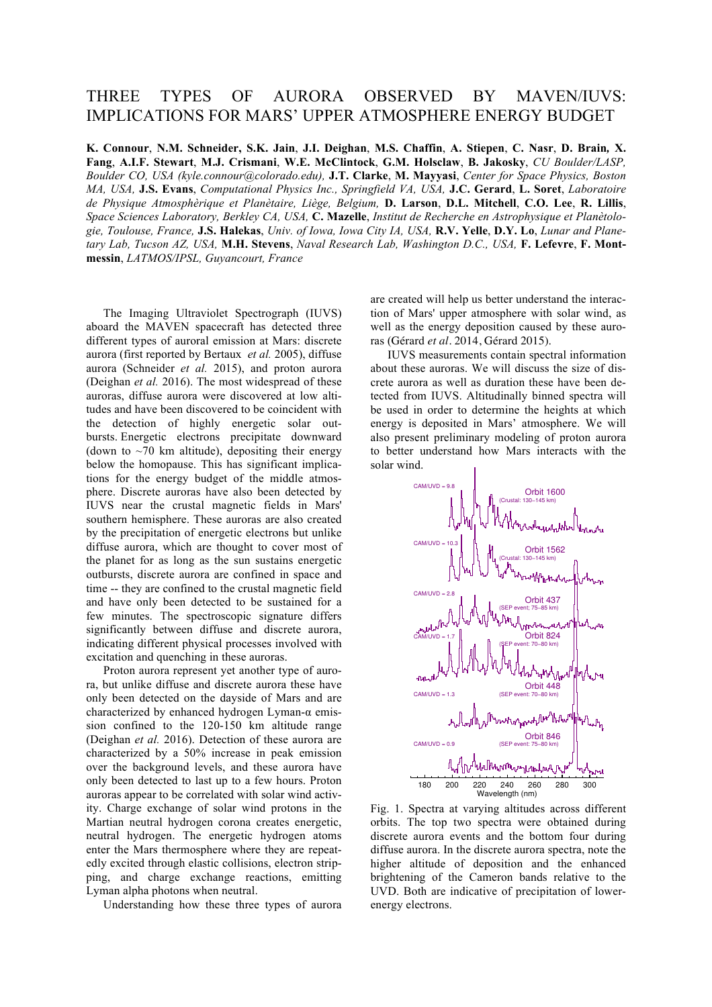## THREE TYPES OF AURORA OBSERVED BY MAVEN/IUVS: IMPLICATIONS FOR MARS' UPPER ATMOSPHERE ENERGY BUDGET

**K. Connour**, **N.M. Schneider, S.K. Jain**, **J.I. Deighan**, **M.S. Chaffin**, **A. Stiepen**, **C. Nasr**, **D. Brain***,* **X. Fang**, **A.I.F. Stewart**, **M.J. Crismani**, **W.E. McClintock**, **G.M. Holsclaw**, **B. Jakosky**, *CU Boulder/LASP, Boulder CO, USA (kyle.connour@colorado.edu),* **J.T. Clarke**, **M. Mayyasi**, *Center for Space Physics, Boston MA, USA,* **J.S. Evans**, *Computational Physics Inc., Springfield VA, USA,* **J.C. Gerard**, **L. Soret**, *Laboratoire de Physique Atmosphèrique et Planètaire, Liège, Belgium,* **D. Larson**, **D.L. Mitchell**, **C.O. Lee**, **R. Lillis**, *Space Sciences Laboratory, Berkley CA, USA,* **C. Mazelle**, *Institut de Recherche en Astrophysique et Planètologie, Toulouse, France,* **J.S. Halekas**, *Univ. of Iowa, Iowa City IA, USA,* **R.V. Yelle**, **D.Y. Lo**, *Lunar and Planetary Lab, Tucson AZ, USA,* **M.H. Stevens**, *Naval Research Lab, Washington D.C., USA,* **F. Lefevre**, **F. Montmessin**, *LATMOS/IPSL, Guyancourt, France*

The Imaging Ultraviolet Spectrograph (IUVS) aboard the MAVEN spacecraft has detected three different types of auroral emission at Mars: discrete aurora (first reported by Bertaux *et al.* 2005), diffuse aurora (Schneider *et al.* 2015), and proton aurora (Deighan *et al.* 2016). The most widespread of these auroras, diffuse aurora were discovered at low altitudes and have been discovered to be coincident with the detection of highly energetic solar outbursts. Energetic electrons precipitate downward (down to  $\sim$ 70 km altitude), depositing their energy below the homopause. This has significant implications for the energy budget of the middle atmosphere. Discrete auroras have also been detected by IUVS near the crustal magnetic fields in Mars' southern hemisphere. These auroras are also created by the precipitation of energetic electrons but unlike diffuse aurora, which are thought to cover most of the planet for as long as the sun sustains energetic outbursts, discrete aurora are confined in space and time -- they are confined to the crustal magnetic field and have only been detected to be sustained for a few minutes. The spectroscopic signature differs significantly between diffuse and discrete aurora, indicating different physical processes involved with excitation and quenching in these auroras.

Proton aurora represent yet another type of aurora, but unlike diffuse and discrete aurora these have only been detected on the dayside of Mars and are characterized by enhanced hydrogen Lyman-α emission confined to the 120-150 km altitude range (Deighan *et al.* 2016). Detection of these aurora are characterized by a 50% increase in peak emission over the background levels, and these aurora have only been detected to last up to a few hours. Proton auroras appear to be correlated with solar wind activity. Charge exchange of solar wind protons in the Martian neutral hydrogen corona creates energetic, neutral hydrogen. The energetic hydrogen atoms enter the Mars thermosphere where they are repeatedly excited through elastic collisions, electron stripping, and charge exchange reactions, emitting Lyman alpha photons when neutral.

Understanding how these three types of aurora

are created will help us better understand the interaction of Mars' upper atmosphere with solar wind, as well as the energy deposition caused by these auroras (Gérard *et al.* 2014, Gérard 2015).

IUVS measurements contain spectral information about these auroras. We will discuss the size of discrete aurora as well as duration these have been detected from IUVS. Altitudinally binned spectra will be used in order to determine the heights at which energy is deposited in Mars' atmosphere. We will also present preliminary modeling of proton aurora to better understand how Mars interacts with the solar wind.



Fig. 1. Spectra at varying altitudes across different orbits. The top two spectra were obtained during discrete aurora events and the bottom four during diffuse aurora. In the discrete aurora spectra, note the higher altitude of deposition and the enhanced brightening of the Cameron bands relative to the UVD. Both are indicative of precipitation of lowerenergy electrons.